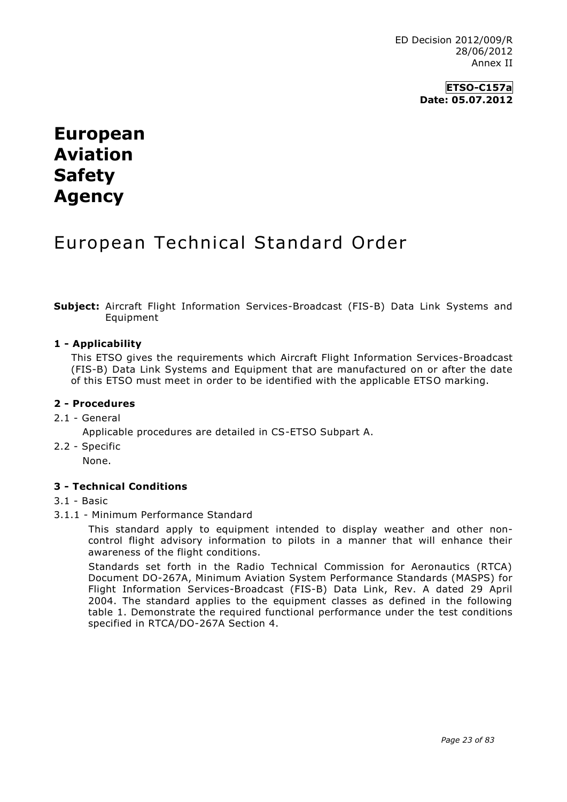**ETSO-C157a Date: 05.07.2012**

# **European Aviation Safety Agency**

## European Technical Standard Order

**Subject:** Aircraft Flight Information Services-Broadcast (FIS-B) Data Link Systems and Equipment

#### **1 - Applicability**

This ETSO gives the requirements which Aircraft Flight Information Services-Broadcast (FIS-B) Data Link Systems and Equipment that are manufactured on or after the date of this ETSO must meet in order to be identified with the applicable ETSO marking.

#### **2 - Procedures**

#### 2.1 - General

- Applicable procedures are detailed in CS-ETSO Subpart A.
- 2.2 Specific

None.

## **3 - Technical Conditions**

#### 3.1 - Basic

3.1.1 - Minimum Performance Standard

This standard apply to equipment intended to display weather and other noncontrol flight advisory information to pilots in a manner that will enhance their awareness of the flight conditions.

Standards set forth in the Radio Technical Commission for Aeronautics (RTCA) Document DO-267A, Minimum Aviation System Performance Standards (MASPS) for Flight Information Services-Broadcast (FIS-B) Data Link, Rev. A dated 29 April 2004. The standard applies to the equipment classes as defined in the following table 1. Demonstrate the required functional performance under the test conditions specified in RTCA/DO-267A Section 4.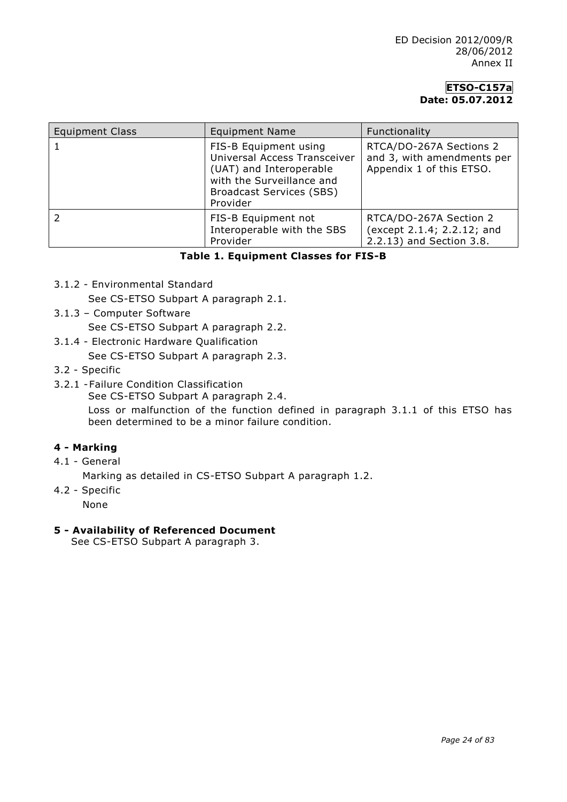## **ETSO-C157a Date: 05.07.2012**

| <b>Equipment Class</b> | <b>Equipment Name</b>                                                                                                                                        | Functionality                                                                     |
|------------------------|--------------------------------------------------------------------------------------------------------------------------------------------------------------|-----------------------------------------------------------------------------------|
|                        | FIS-B Equipment using<br>Universal Access Transceiver<br>(UAT) and Interoperable<br>with the Surveillance and<br><b>Broadcast Services (SBS)</b><br>Provider | RTCA/DO-267A Sections 2<br>and 3, with amendments per<br>Appendix 1 of this ETSO. |
|                        | FIS-B Equipment not<br>Interoperable with the SBS<br>Provider                                                                                                | RTCA/DO-267A Section 2<br>(except 2.1.4; 2.2.12; and<br>2.2.13) and Section 3.8.  |

#### **Table 1. Equipment Classes for FIS-B**

3.1.2 - Environmental Standard

See CS-ETSO Subpart A paragraph 2.1.

- 3.1.3 Computer Software See CS-ETSO Subpart A paragraph 2.2.
- 3.1.4 Electronic Hardware Qualification

See CS-ETSO Subpart A paragraph 2.3.

- 3.2 Specific
- 3.2.1 -Failure Condition Classification

See CS-ETSO Subpart A paragraph 2.4.

Loss or malfunction of the function defined in paragraph 3.1.1 of this ETSO has been determined to be a minor failure condition.

#### **4 - Marking**

4.1 - General

Marking as detailed in CS-ETSO Subpart A paragraph 1.2.

4.2 - Specific

None

#### **5 - Availability of Referenced Document**

See CS-ETSO Subpart A paragraph 3.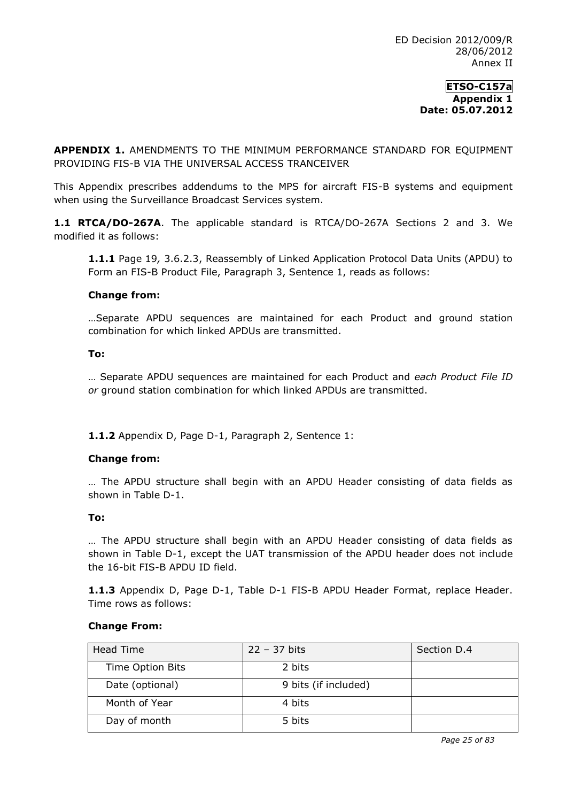**APPENDIX 1.** AMENDMENTS TO THE MINIMUM PERFORMANCE STANDARD FOR EQUIPMENT PROVIDING FIS-B VIA THE UNIVERSAL ACCESS TRANCEIVER

This Appendix prescribes addendums to the MPS for aircraft FIS-B systems and equipment when using the Surveillance Broadcast Services system.

**1.1 RTCA/DO-267A**. The applicable standard is RTCA/DO-267A Sections 2 and 3. We modified it as follows:

**1.1.1** Page 19*,* 3.6.2.3, Reassembly of Linked Application Protocol Data Units (APDU) to Form an FIS-B Product File, Paragraph 3, Sentence 1, reads as follows:

#### **Change from:**

…Separate APDU sequences are maintained for each Product and ground station combination for which linked APDUs are transmitted.

#### **To:**

… Separate APDU sequences are maintained for each Product and *each Product File ID or* ground station combination for which linked APDUs are transmitted.

**1.1.2** Appendix D, Page D-1, Paragraph 2, Sentence 1:

## **Change from:**

… The APDU structure shall begin with an APDU Header consisting of data fields as shown in Table D-1.

#### **To:**

… The APDU structure shall begin with an APDU Header consisting of data fields as shown in Table D-1, except the UAT transmission of the APDU header does not include the 16-bit FIS-B APDU ID field.

**1.1.3** Appendix D, Page D-1, Table D-1 FIS-B APDU Header Format, replace Header. Time rows as follows:

#### **Change From:**

| Head Time        | $22 - 37$ bits       | Section D.4 |
|------------------|----------------------|-------------|
| Time Option Bits | 2 bits               |             |
| Date (optional)  | 9 bits (if included) |             |
| Month of Year    | 4 bits               |             |
| Day of month     | 5 bits               |             |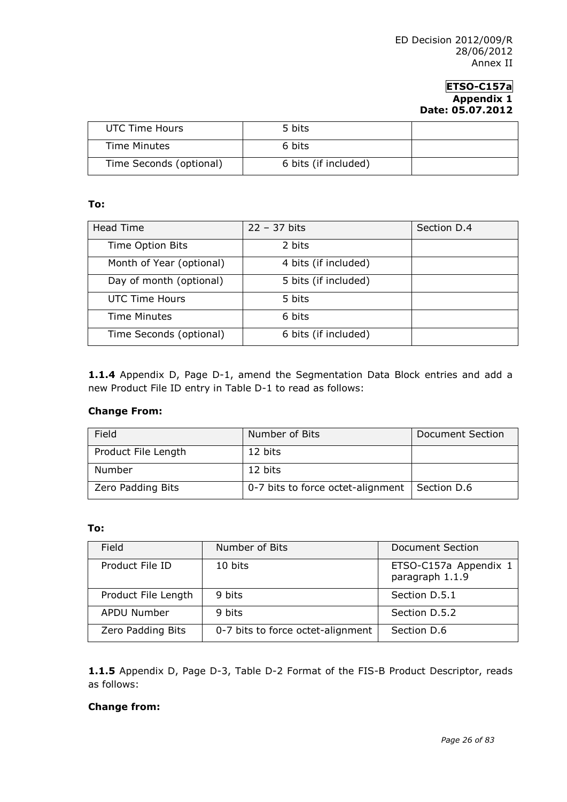| UTC Time Hours          | 5 bits               |  |
|-------------------------|----------------------|--|
| Time Minutes            | 6 bits               |  |
| Time Seconds (optional) | 6 bits (if included) |  |

#### **To:**

| <b>Head Time</b>         | $22 - 37$ bits       | Section D.4 |
|--------------------------|----------------------|-------------|
| Time Option Bits         | 2 bits               |             |
| Month of Year (optional) | 4 bits (if included) |             |
| Day of month (optional)  | 5 bits (if included) |             |
| UTC Time Hours           | 5 bits               |             |
| Time Minutes             | 6 bits               |             |
| Time Seconds (optional)  | 6 bits (if included) |             |

**1.1.4** Appendix D, Page D-1, amend the Segmentation Data Block entries and add a new Product File ID entry in Table D-1 to read as follows:

#### **Change From:**

| Field               | Number of Bits                    | Document Section |
|---------------------|-----------------------------------|------------------|
| Product File Length | 12 bits                           |                  |
| Number              | 12 bits                           |                  |
| Zero Padding Bits   | 0-7 bits to force octet-alignment | Section D.6      |

## **To:**

| Field               | Number of Bits                    | Document Section                         |
|---------------------|-----------------------------------|------------------------------------------|
| Product File ID     | 10 bits                           | ETSO-C157a Appendix 1<br>paragraph 1.1.9 |
| Product File Length | 9 bits                            | Section D.5.1                            |
| APDU Number         | 9 bits                            | Section D.5.2                            |
| Zero Padding Bits   | 0-7 bits to force octet-alignment | Section D.6                              |

**1.1.5** Appendix D, Page D-3, Table D-2 Format of the FIS-B Product Descriptor, reads as follows:

## **Change from:**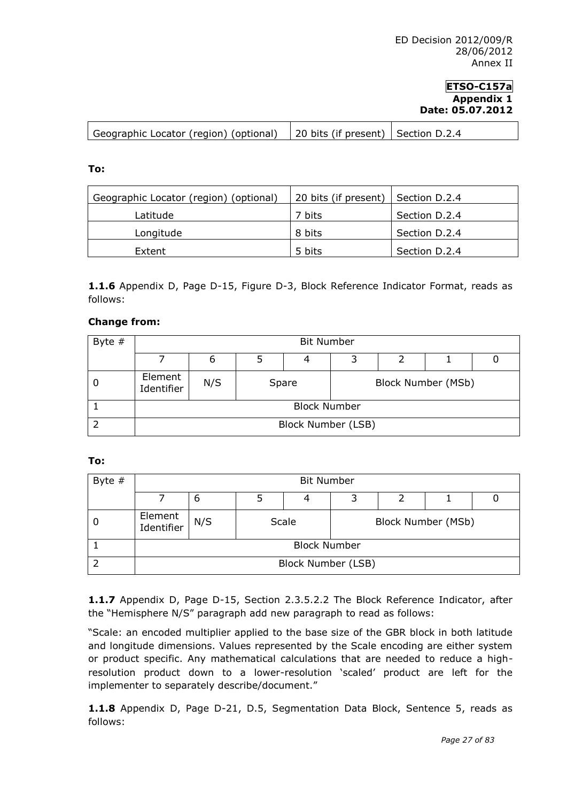| Geographic Locator (region) (optional)   20 bits (if present)   Section D.2.4 |  |
|-------------------------------------------------------------------------------|--|

**To:**

| Geographic Locator (region) (optional) | 20 bits (if present)   Section D.2.4 |               |
|----------------------------------------|--------------------------------------|---------------|
| Latitude                               | 7 bits                               | Section D.2.4 |
| Longitude                              | 8 bits                               | Section D.2.4 |
| Extent                                 | 5 bits                               | Section D.2.4 |

**1.1.6** Appendix D, Page D-15, Figure D-3, Block Reference Indicator Format, reads as follows:

#### **Change from:**

| Byte $#$ |                       | <b>Bit Number</b>   |   |       |  |  |                    |  |  |
|----------|-----------------------|---------------------|---|-------|--|--|--------------------|--|--|
|          |                       | b                   | 3 |       |  |  |                    |  |  |
|          | Element<br>Identifier | N/S                 |   | Spare |  |  | Block Number (MSb) |  |  |
|          |                       | <b>Block Number</b> |   |       |  |  |                    |  |  |
|          |                       | Block Number (LSB)  |   |       |  |  |                    |  |  |

**To:**

| Byte $#$ | <b>Bit Number</b>     |                     |  |                    |                    |  |  |  |
|----------|-----------------------|---------------------|--|--------------------|--------------------|--|--|--|
|          |                       | ь                   |  |                    | 3                  |  |  |  |
|          | Element<br>Identifier | N/S                 |  | Scale              | Block Number (MSb) |  |  |  |
|          |                       | <b>Block Number</b> |  |                    |                    |  |  |  |
|          |                       |                     |  | Block Number (LSB) |                    |  |  |  |

**1.1.7** Appendix D, Page D-15, Section 2.3.5.2.2 The Block Reference Indicator, after the "Hemisphere N/S" paragraph add new paragraph to read as follows:

"Scale: an encoded multiplier applied to the base size of the GBR block in both latitude and longitude dimensions. Values represented by the Scale encoding are either system or product specific. Any mathematical calculations that are needed to reduce a highresolution product down to a lower-resolution 'scaled' product are left for the implementer to separately describe/document."

**1.1.8** Appendix D, Page D-21, D.5, Segmentation Data Block, Sentence 5, reads as follows: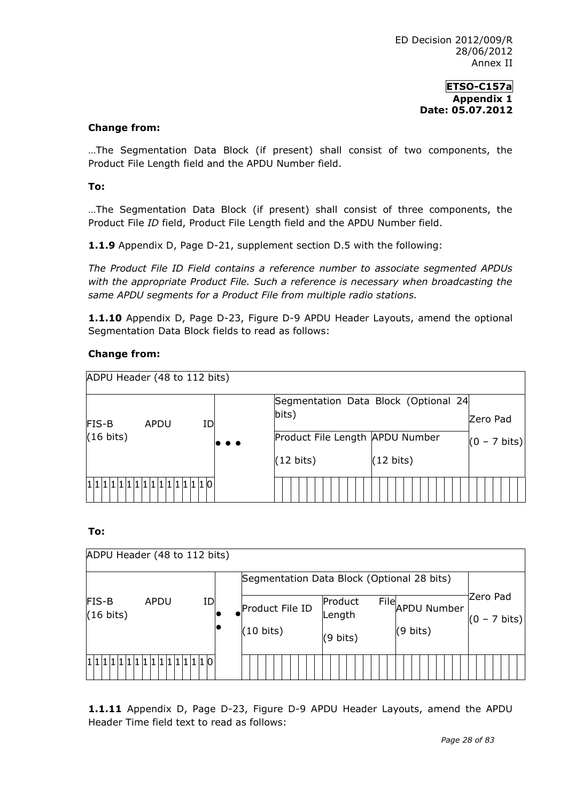#### **Change from:**

…The Segmentation Data Block (if present) shall consist of two components, the Product File Length field and the APDU Number field.

#### **To:**

…The Segmentation Data Block (if present) shall consist of three components, the Product File *ID* field, Product File Length field and the APDU Number field.

**1.1.9** Appendix D, Page D-21, supplement section D.5 with the following:

*The Product File ID Field contains a reference number to associate segmented APDUs with the appropriate Product File. Such a reference is necessary when broadcasting the same APDU segments for a Product File from multiple radio stations.*

**1.1.10** Appendix D, Page D-23, Figure D-9 APDU Header Layouts, amend the optional Segmentation Data Block fields to read as follows:

## **Change from:**



**To:**

|                                            | ADPU Header (48 to 112 bits) |    |  |                     |                   |      |                    |  |                                    |
|--------------------------------------------|------------------------------|----|--|---------------------|-------------------|------|--------------------|--|------------------------------------|
| Segmentation Data Block (Optional 28 bits) |                              |    |  |                     |                   |      |                    |  |                                    |
| <b>FIS-B</b><br>$(16 \text{ bits})$        | APDU                         | ID |  | Product File ID     | Product<br>Length | File | <b>APDU Number</b> |  | Zero Pad<br>$(0 - 7 \text{ bits})$ |
|                                            |                              |    |  | $(10 \text{ bits})$ | (9 bits)          |      | $(9 \text{ bits})$ |  |                                    |
|                                            |                              |    |  |                     |                   |      |                    |  |                                    |

**1.1.11** Appendix D, Page D-23, Figure D-9 APDU Header Layouts, amend the APDU Header Time field text to read as follows: